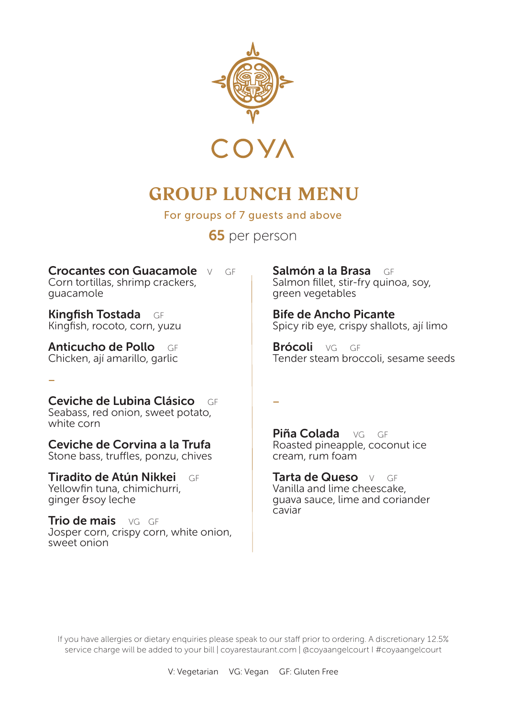

## **GROUP LUNCH MENU**

For groups of 7 quests and above

65 per person

–

Crocantes con Guacamole V GF Corn tortillas, shrimp crackers, guacamole

Kingfish Tostada GF Kingfish, rocoto, corn, yuzu

Anticucho de Pollo GF Chicken, ají amarillo, garlic

–

Ceviche de Lubina Clásico GF Seabass, red onion, sweet potato, white corn

Ceviche de Corvina a la Trufa Stone bass, truffles, ponzu, chives

Tiradito de Atún Nikkei GF Yellowfin tuna, chimichurri, ginger &soy leche

Trio de mais VG GF Josper corn, crispy corn, white onion, sweet onion

Salmón a la Brasa GF Salmon fillet, stir-fry quinoa, soy, green vegetables

Bife de Ancho Picante Spicy rib eye, crispy shallots, ají limo

Brócoli VG GF Tender steam broccoli, sesame seeds

Piña Colada VG GE Roasted pineapple, coconut ice cream, rum foam

Tarta de Queso VI GE Vanilla and lime cheescake, guava sauce, lime and coriander caviar

If you have allergies or dietary enquiries please speak to our staff prior to ordering. A discretionary 12.5% service charge will be added to your bill | coyarestaurant.com | @coyaangelcourt | #coyaangelcourt